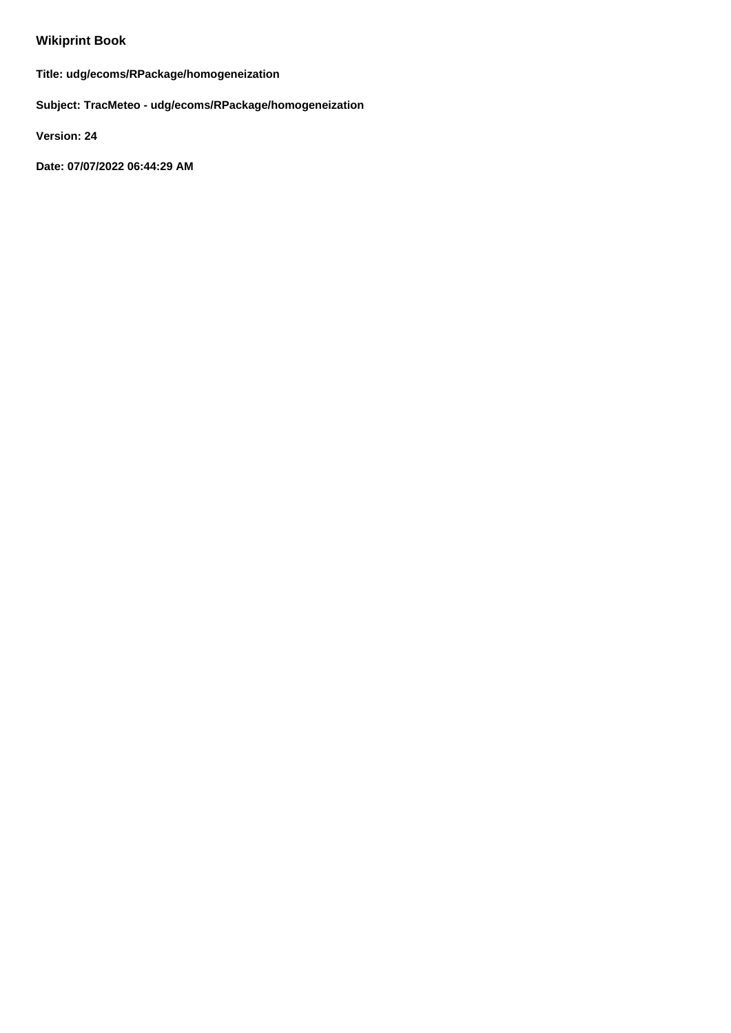## **Wikiprint Book**

**Title: udg/ecoms/RPackage/homogeneization**

**Subject: TracMeteo - udg/ecoms/RPackage/homogeneization**

**Version: 24**

**Date: 07/07/2022 06:44:29 AM**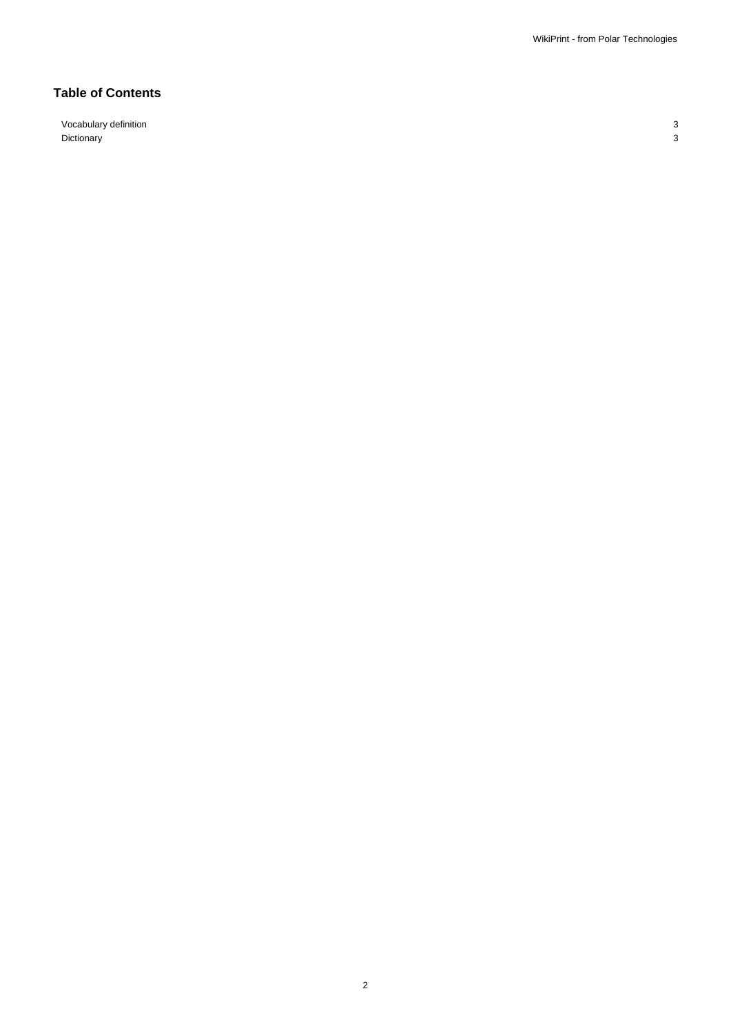## **Table of Contents**

Vocabulary definition 3 Dictionary 3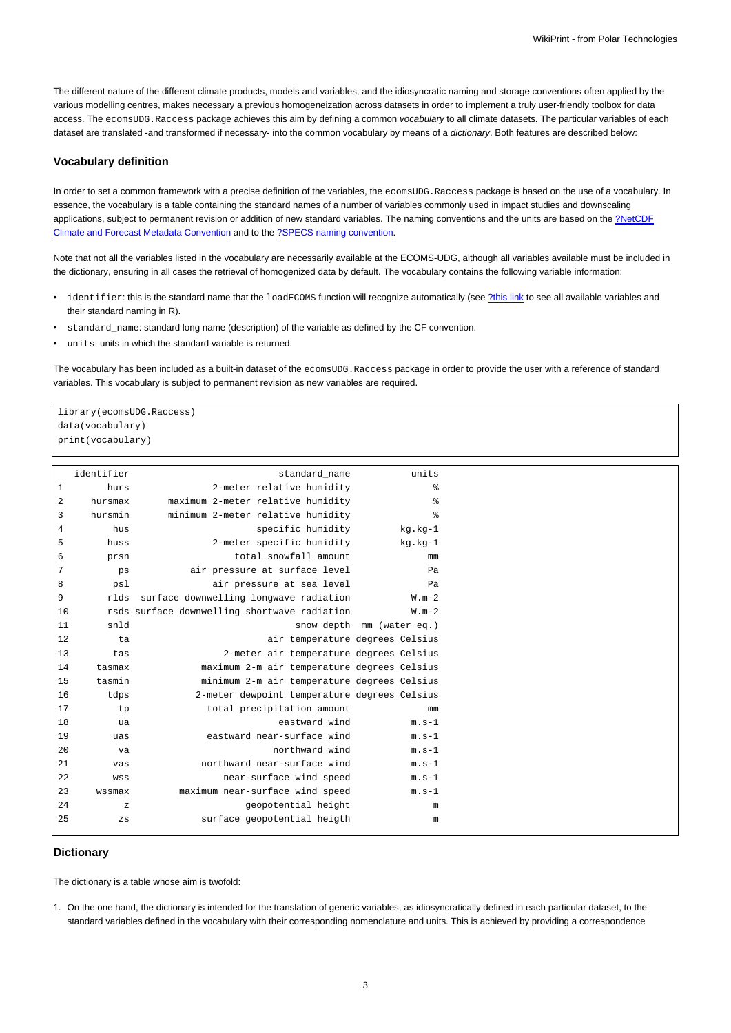The different nature of the different climate products, models and variables, and the idiosyncratic naming and storage conventions often applied by the various modelling centres, makes necessary a previous homogeneization across datasets in order to implement a truly user-friendly toolbox for data access. The ecomsUDG.Raccess package achieves this aim by defining a common vocabulary to all climate datasets. The particular variables of each dataset are translated -and transformed if necessary- into the common vocabulary by means of a dictionary. Both features are described below:

## **Vocabulary definition**

In order to set a common framework with a precise definition of the variables, the ecomsUDG. Raccess package is based on the use of a vocabulary. In essence, the vocabulary is a table containing the standard names of a number of variables commonly used in impact studies and downscaling applications, subject to permanent revision or addition of new standard variables. The naming conventions and the units are based on the [?NetCDF](http://cfconventions.org/) [Climate and Forecast Metadata Convention](http://cfconventions.org/) and to the [?SPECS naming convention](http://www.specs-fp7.eu/wiki/index.php/Data#SPECS_convention).

Note that not all the variables listed in the vocabulary are necessarily available at the ECOMS-UDG, although all variables available must be included in the dictionary, ensuring in all cases the retrieval of homogenized data by default. The vocabulary contains the following variable information:

- identifier: this is the standard name that the loadECOMS function will recognize automatically (see [?this link](http://www.meteo.unican.es/ecoms-udg/DataServer/ListOfVariables) to see all available variables and their standard naming in R).
- standard\_name: standard long name (description) of the variable as defined by the CF convention.
- units: units in which the standard variable is returned.

The vocabulary has been included as a built-in dataset of the ecomsUDG. Raccess package in order to provide the user with a reference of standard variables. This vocabulary is subject to permanent revision as new variables are required.

library(ecomsUDG.Raccess) data(vocabulary) print(vocabulary)

| identifier   |              | standard name                                | units                     |
|--------------|--------------|----------------------------------------------|---------------------------|
| $\mathbf{1}$ | hurs         | 2-meter relative humidity                    | နွ                        |
| $\sqrt{2}$   | hursmax      | maximum 2-meter relative humidity            | ిక                        |
| 3            | hursmin      | minimum 2-meter relative humidity            | る                         |
| 4            | hus          | specific humidity                            | kg.kg-1                   |
| 5            | huss         | 2-meter specific humidity                    | kg.kg-1                   |
| 6            | prsn         | total snowfall amount                        | mm                        |
| 7            | ps           | air pressure at surface level                | Pa                        |
| 8            | psl          | air pressure at sea level                    | Pa                        |
| 9            | rlds         | surface downwelling longwave radiation       | $W.m-2$                   |
| 10           |              | rsds surface downwelling shortwave radiation | $W.m-2$                   |
| 11           | snld         |                                              | snow depth mm (water eq.) |
| 12           | ta           | air temperature degrees Celsius              |                           |
| 13           | tas          | 2-meter air temperature degrees Celsius      |                           |
| 14           | tasmax       | maximum 2-m air temperature degrees Celsius  |                           |
| 15           | tasmin       | minimum 2-m air temperature degrees Celsius  |                           |
| 16           | tdps         | 2-meter dewpoint temperature degrees Celsius |                           |
| 17           | tp           | total precipitation amount                   | mm                        |
| 18           | ua           | eastward wind                                | $m.s-1$                   |
| 19           | uas          | eastward near-surface wind                   | $m.s-1$                   |
| 20           | va           | northward wind                               | $m.s-1$                   |
| 21           | vas          | northward near-surface wind                  | $m.s-1$                   |
| 22           | WSS          | near-surface wind speed                      | $m.s-1$                   |
| 23           | wssmax       | maximum near-surface wind speed              | $m.s-1$                   |
| 24           | $\mathbf{z}$ | geopotential height                          | m                         |
| 25           | $_{\rm ZS}$  | surface geopotential heigth                  | m                         |
|              |              |                                              |                           |

## **Dictionary**

The dictionary is a table whose aim is twofold:

1. On the one hand, the dictionary is intended for the translation of generic variables, as idiosyncratically defined in each particular dataset, to the standard variables defined in the vocabulary with their corresponding nomenclature and units. This is achieved by providing a correspondence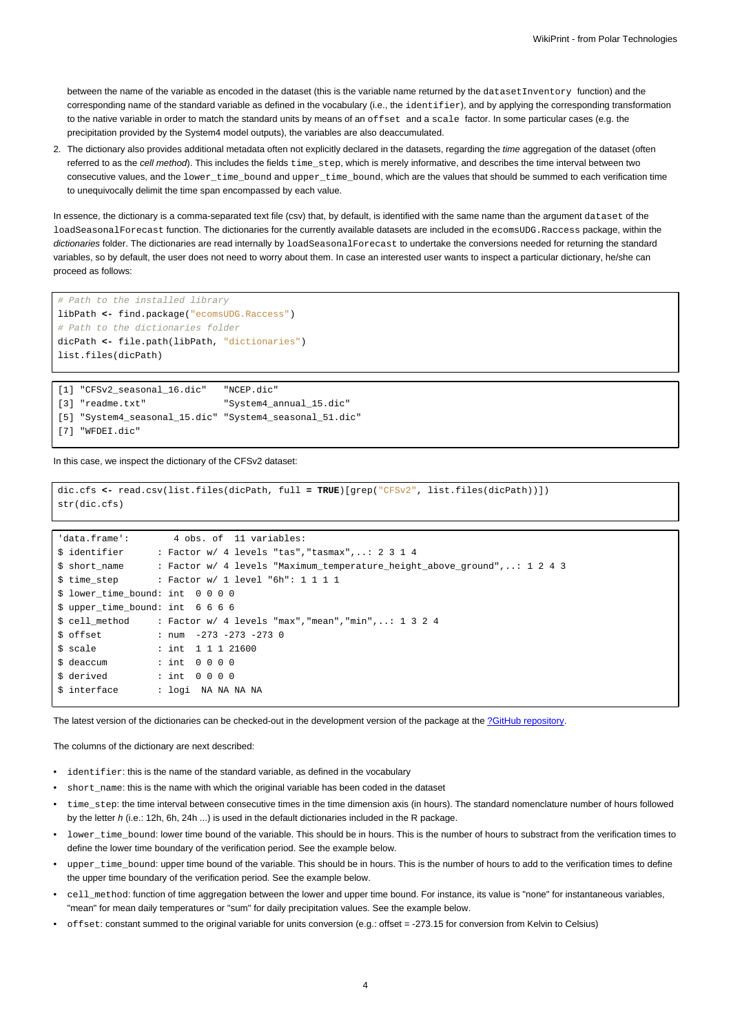between the name of the variable as encoded in the dataset (this is the variable name returned by the dataset Inventory function) and the corresponding name of the standard variable as defined in the vocabulary (i.e., the identifier), and by applying the corresponding transformation to the native variable in order to match the standard units by means of an offset and a scale factor. In some particular cases (e.g. the precipitation provided by the System4 model outputs), the variables are also deaccumulated.

2. The dictionary also provides additional metadata often not explicitly declared in the datasets, regarding the time aggregation of the dataset (often referred to as the cell method). This includes the fields  $time\_step$ , which is merely informative, and describes the time interval between two consecutive values, and the lower\_time\_bound and upper\_time\_bound, which are the values that should be summed to each verification time to unequivocally delimit the time span encompassed by each value.

In essence, the dictionary is a comma-separated text file (csv) that, by default, is identified with the same name than the argument dataset of the loadSeasonalForecast function. The dictionaries for the currently available datasets are included in the ecomsUDG.Raccess package, within the dictionaries folder. The dictionaries are read internally by loadSeasonalForecast to undertake the conversions needed for returning the standard variables, so by default, the user does not need to worry about them. In case an interested user wants to inspect a particular dictionary, he/she can proceed as follows:

```
# Path to the installed library
libPath <- find.package("ecomsUDG.Raccess")
# Path to the dictionaries folder
dicPath <- file.path(libPath, "dictionaries")
list.files(dicPath)
```

| [1] "CFSv2 seasonal 16.dic"                             | "NCEP.dic"              |
|---------------------------------------------------------|-------------------------|
| [3] "readme.txt"                                        | "System4 annual 15.dic" |
| [5] "System4 seasonal 15.dic" "System4 seasonal 51.dic" |                         |
| [7] "WFDEI.dic"                                         |                         |

In this case, we inspect the dictionary of the CFSv2 dataset:

```
dic.cfs <- read.csv(list.files(dicPath, full = TRUE)[grep("CFSv2", list.files(dicPath))])
str(dic.cfs)
```

```
'data.frame': 4 obs. of 11 variables:
$ identifier : Factor w/ 4 levels "tas","tasmax",..: 2 3 1 4
$ short_name : Factor w/ 4 levels "Maximum_temperature_height_above_ground",..: 1 2 4 3
$ time_step : Factor w/ 1 level "6h": 1 1 1 1
$ lower_time_bound: int 0 0 0 0
$ upper_time_bound: int 6 6 6 6
$ cell_method : Factor w/ 4 levels "max","mean","min",..: 1 3 2 4
$ offset : num -273 -273 -273 0
$ scale : int 1 1 1 21600
$ deaccum : int 0 0 0 0
$ derived : int 0 0 0 0
$ interface : logi NA NA NA NA
```
The latest version of the dictionaries can be checked-out in the development version of the package at the [?GitHub repository.](https://github.com/SantanderMetGroup/ecomsUDG.Raccess/tree/master/inst/dictionaries)

The columns of the dictionary are next described:

- identifier: this is the name of the standard variable, as defined in the vocabulary
- short name: this is the name with which the original variable has been coded in the dataset
- time\_step: the time interval between consecutive times in the time dimension axis (in hours). The standard nomenclature number of hours followed by the letter h (i.e.: 12h, 6h, 24h ...) is used in the default dictionaries included in the R package.
- lower time bound: lower time bound of the variable. This should be in hours. This is the number of hours to substract from the verification times to define the lower time boundary of the verification period. See the example below.
- upper\_time\_bound: upper time bound of the variable. This should be in hours. This is the number of hours to add to the verification times to define the upper time boundary of the verification period. See the example below.
- cell\_method: function of time aggregation between the lower and upper time bound. For instance, its value is "none" for instantaneous variables, "mean" for mean daily temperatures or "sum" for daily precipitation values. See the example below.
- offset: constant summed to the original variable for units conversion (e.g.: offset = -273.15 for conversion from Kelvin to Celsius)